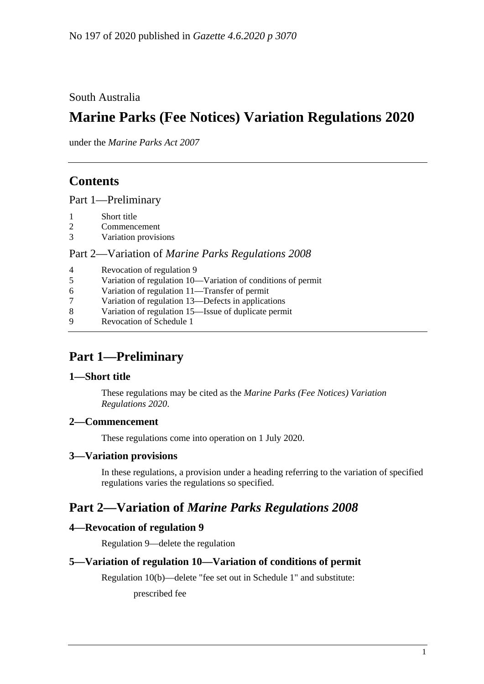South Australia

# **Marine Parks (Fee Notices) Variation Regulations 2020**

under the *Marine Parks Act 2007*

## **Contents**

Part [1—Preliminary](#page-0-0)

- 1 [Short title](#page-0-1)
- 2 [Commencement](#page-0-2)
- 3 [Variation provisions](#page-0-3)

#### Part 2—Variation of *[Marine Parks Regulations](#page-0-4) 2008*

| $\overline{4}$ | Revocation of regulation 9                                   |
|----------------|--------------------------------------------------------------|
| 5              | Variation of regulation 10-Variation of conditions of permit |
| 6              | Variation of regulation 11—Transfer of permit                |
| 7              | Variation of regulation 13—Defects in applications           |
| 8              | Variation of regulation 15—Issue of duplicate permit         |
| $\mathbf Q$    | Revocation of Schedule 1                                     |
|                |                                                              |

## <span id="page-0-0"></span>**Part 1—Preliminary**

## <span id="page-0-1"></span>**1—Short title**

These regulations may be cited as the *Marine Parks (Fee Notices) Variation Regulations 2020*.

## <span id="page-0-2"></span>**2—Commencement**

These regulations come into operation on 1 July 2020.

## <span id="page-0-3"></span>**3—Variation provisions**

In these regulations, a provision under a heading referring to the variation of specified regulations varies the regulations so specified.

## <span id="page-0-4"></span>**Part 2—Variation of** *Marine Parks Regulations 2008*

## <span id="page-0-5"></span>**4—Revocation of regulation 9**

Regulation 9—delete the regulation

## <span id="page-0-6"></span>**5—Variation of regulation 10—Variation of conditions of permit**

Regulation 10(b)—delete "fee set out in Schedule 1" and substitute:

prescribed fee